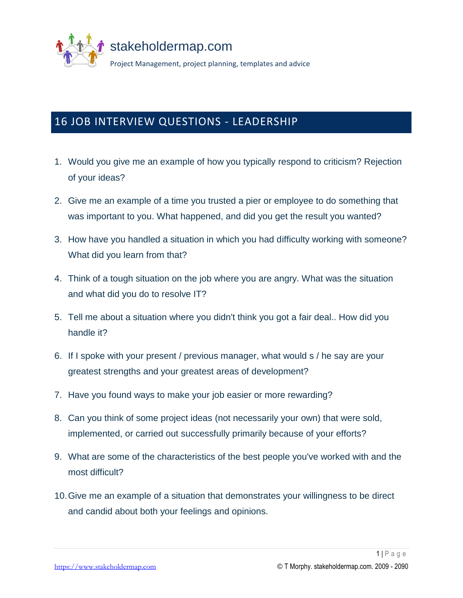

## 16 JOB INTERVIEW QUESTIONS - LEADERSHIP

- 1. Would you give me an example of how you typically respond to criticism? Rejection of your ideas?
- 2. Give me an example of a time you trusted a pier or employee to do something that was important to you. What happened, and did you get the result you wanted?
- 3. How have you handled a situation in which you had difficulty working with someone? What did you learn from that?
- 4. Think of a tough situation on the job where you are angry. What was the situation and what did you do to resolve IT?
- 5. Tell me about a situation where you didn't think you got a fair deal.. How did you handle it?
- 6. If I spoke with your present / previous manager, what would s / he say are your greatest strengths and your greatest areas of development?
- 7. Have you found ways to make your job easier or more rewarding?
- 8. Can you think of some project ideas (not necessarily your own) that were sold, implemented, or carried out successfully primarily because of your efforts?
- 9. What are some of the characteristics of the best people you've worked with and the most difficult?
- 10.Give me an example of a situation that demonstrates your willingness to be direct and candid about both your feelings and opinions.